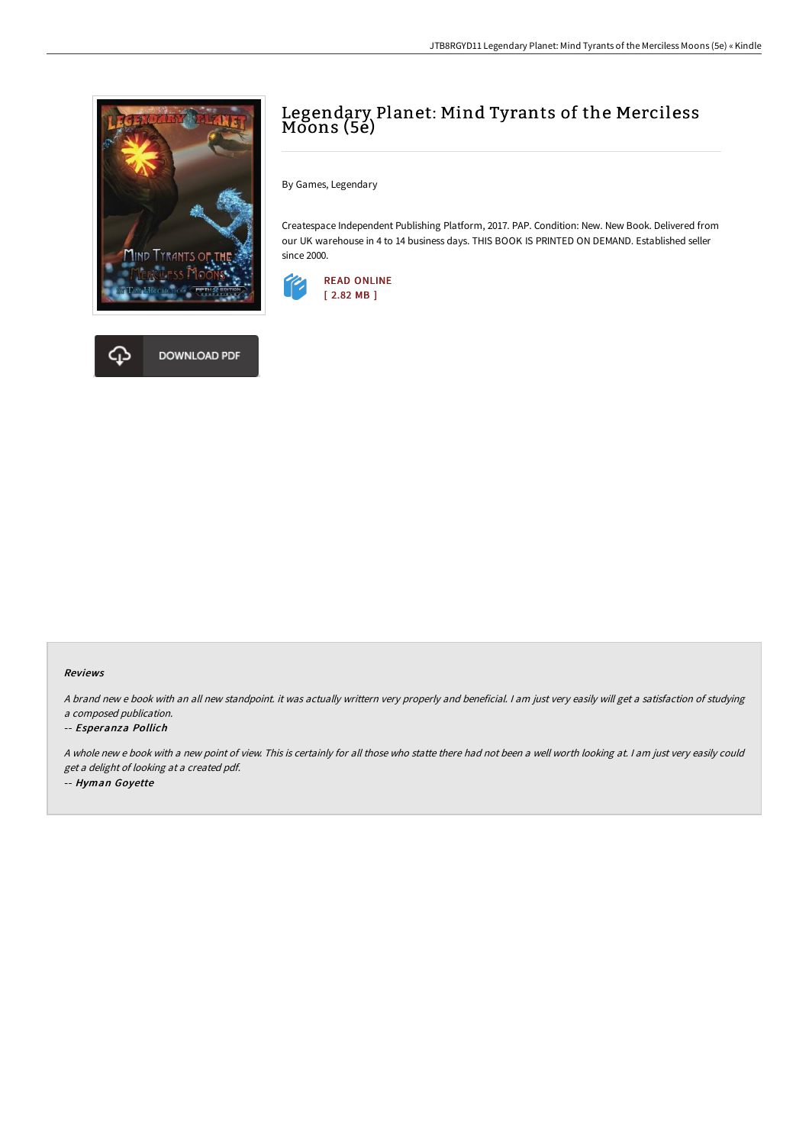



# Legendary Planet: Mind Tyrants of the Merciless Moons (5e)

By Games, Legendary

Createspace Independent Publishing Platform, 2017. PAP. Condition: New. New Book. Delivered from our UK warehouse in 4 to 14 business days. THIS BOOK IS PRINTED ON DEMAND. Established seller since 2000.



### Reviews

<sup>A</sup> brand new <sup>e</sup> book with an all new standpoint. it was actually writtern very properly and beneficial. <sup>I</sup> am just very easily will get <sup>a</sup> satisfaction of studying <sup>a</sup> composed publication.

#### -- Esperanza Pollich

<sup>A</sup> whole new <sup>e</sup> book with <sup>a</sup> new point of view. This is certainly for all those who statte there had not been <sup>a</sup> well worth looking at. <sup>I</sup> am just very easily could get <sup>a</sup> delight of looking at <sup>a</sup> created pdf. -- Hyman Goyette